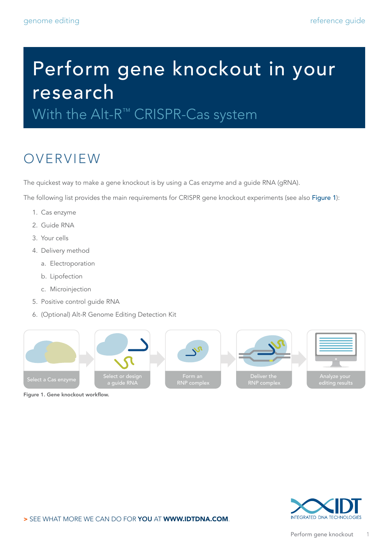# Perform gene knockout in your research With the Alt-R<sup>™</sup> CRISPR-Cas system

The quickest way to make a gene knockout is by using a Cas enzyme and a guide RNA (gRNA).

The following list provides the main requirements for CRISPR gene knockout experiments (see also Figure 1):

1. Cas enzyme

OVERVIEW

- 2. Guide RNA
- 3. Your cells
- 4. Delivery method
	- a. Electroporation
	- b. Lipofection
	- c. Microinjection
- 5. Positive control guide RNA
- 6. (Optional) Alt-R Genome Editing Detection Kit



Figure 1. Gene knockout workflow.

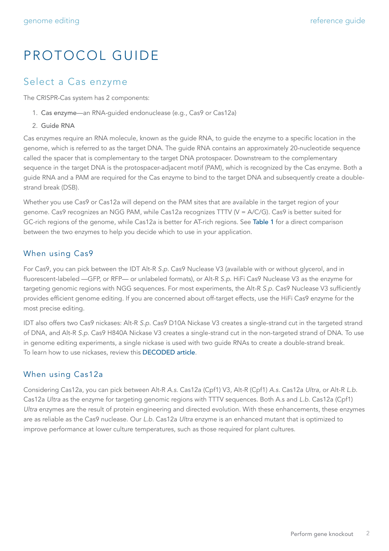## PROTOCOL GUIDE

#### Select a Cas enzyme

The CRISPR-Cas system has 2 components:

- 1. Cas enzyme—an RNA-guided endonuclease (e.g., Cas9 or Cas12a)
- 2. Guide RNA

Cas enzymes require an RNA molecule, known as the guide RNA, to guide the enzyme to a specific location in the genome, which is referred to as the target DNA. The guide RNA contains an approximately 20-nucleotide sequence called the spacer that is complementary to the target DNA protospacer. Downstream to the complementary sequence in the target DNA is the protospacer-adjacent motif (PAM), which is recognized by the Cas enzyme. Both a guide RNA and a PAM are required for the Cas enzyme to bind to the target DNA and subsequently create a doublestrand break (DSB).

Whether you use Cas9 or Cas12a will depend on the PAM sites that are available in the target region of your genome. Cas9 recognizes an NGG PAM, while Cas12a recognizes TTTV (V = A/C/G). Cas9 is better suited for GC-rich regions of the genome, while Cas12a is better for AT-rich regions. See Table 1 for a direct comparison between the two enzymes to help you decide which to use in your application.

#### When using Cas9

For Cas9, you can pick between the IDT Alt-R *S.p.* Cas9 Nuclease V3 (available with or without glycerol, and in fluorescent-labeled —GFP, or RFP— or unlabeled formats), or Alt-R *S.p.* HiFi Cas9 Nuclease V3 as the enzyme for targeting genomic regions with NGG sequences. For most experiments, the Alt-R *S.p.* Cas9 Nuclease V3 sufficiently provides efficient genome editing. If you are concerned about off-target effects, use the HiFi Cas9 enzyme for the most precise editing.

IDT also offers two Cas9 nickases: Alt-R *S.p.* Cas9 D10A Nickase V3 creates a single-strand cut in the targeted strand of DNA, and Alt-R *S.p.* Cas9 H840A Nickase V3 creates a single-strand cut in the non-targeted strand of DNA. To use in genome editing experiments, a single nickase is used with two guide RNAs to create a double-strand break. To learn how to use nickases, review this [DECODED article](https://www.idtdna.com/pages/education/decoded/article/when-and-how-to-use-nickases-for-efficient-genome-editing).

#### When using Cas12a

Considering Cas12a, you can pick between Alt-R *A.s.* Cas12a (Cpf1) V3, Alt-R (Cpf1) *A.s.* Cas12a *Ultra,* or Alt-R *L.b.* Cas12a *Ultra* as the enzyme for targeting genomic regions with TTTV sequences. Both A.s and *L.b.* Cas12a (Cpf1) *Ultra* enzymes are the result of protein engineering and directed evolution. With these enhancements, these enzymes are as reliable as the Cas9 nuclease. Our *L.b.* Cas12a *Ultra* enzyme is an enhanced mutant that is optimized to improve performance at lower culture temperatures, such as those required for plant cultures.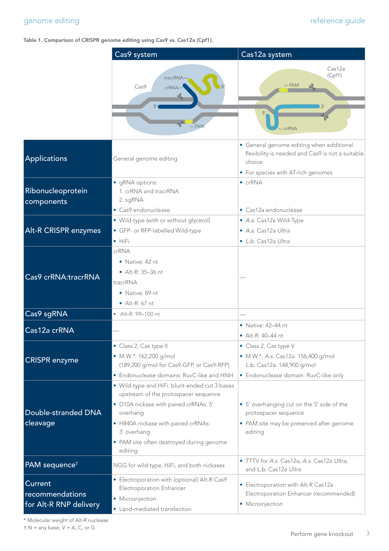#### genome editing reference guide reference guide

#### Table 1. Comparison of CRISPR genome editing using Cas9 vs. Cas12a (Cpf1).

|                                                             | Cas9 system                                                                                                                                                                                                                                             | Cas12a system                                                                                                                                 |
|-------------------------------------------------------------|---------------------------------------------------------------------------------------------------------------------------------------------------------------------------------------------------------------------------------------------------------|-----------------------------------------------------------------------------------------------------------------------------------------------|
|                                                             | tracrRNA<br>Cas9<br>crRNA<br><u>or,</u><br>$-PAN$                                                                                                                                                                                                       | Cas12a<br>(Cpf1)<br>$-$ PAM<br>οš<br>5 <sup>'</sup><br><b>crRNA</b>                                                                           |
| Applications                                                | General genome editing                                                                                                                                                                                                                                  | · General genome editing when additional<br>flexibility is needed and Cas9 is not a suitable<br>choice.<br>• For species with AT-rich genomes |
| Ribonucleoprotein<br>components                             | • gRNA options:<br>1. crRNA and tracrRNA<br>2. sgRNA                                                                                                                                                                                                    | $\bullet$ crRNA                                                                                                                               |
| <b>Alt-R CRISPR enzymes</b>                                 | • Cas9 endonuclease<br>• Wild-type (with or without glycerol)<br>• GFP- or RFP-labelled Wild-type<br>$\bullet$ HiFi                                                                                                                                     | • Cas12a endonuclease<br>• A.s. Cas12a Wild-Type<br>· A.s. Cas12a Ultra<br>• L.b. Cas12a Ultra                                                |
| Cas9 crRNA:tracrRNA                                         | crRNA<br>• Native: 42 nt<br>• Alt-R: 35-36 nt<br>tracrRNA<br>• Native: 89 nt<br>$\bullet$ Alt-R: 67 nt                                                                                                                                                  |                                                                                                                                               |
| Cas9 sgRNA                                                  | • Alt-R: 99-100 nt                                                                                                                                                                                                                                      |                                                                                                                                               |
| Cas12a crRNA                                                |                                                                                                                                                                                                                                                         | $\bullet$ Native: 42-44 nt<br>• $Alt-R: 40-44$ nt                                                                                             |
| <b>CRISPR</b> enzyme                                        | · Class 2, Cas type II<br>• M.W.*: 162,200 g/mol<br>(189,200 g/mol for Cas9-GFP, or Cas9-RFP)<br>• Endonuclease domains: RuvC-like and HNH                                                                                                              | • Class 2, Cas type V<br>· M.W.*: A.s. Cas12a: 156,400 g/mol<br>L.b. Cas12a: 148,900 g/mol<br>• Endonuclease domain: RuvC-like only           |
| Double-stranded DNA<br>cleavage                             | • Wild-type and HiFi: blunt-ended cut 3 bases<br>upstream of the protospacer sequence<br>· D10A nickase with paired crRNAs: 5'<br>overhang<br>• H840A nickase with paired crRNAs:<br>3' overhang<br>• PAM site often destroyed during genome<br>editing | • 5' overhanging cut on the 5' side of the<br>protospacer sequence<br>• PAM site may be preserved after genome<br>editing                     |
| PAM sequence <sup>t</sup>                                   | NGG for wild-type, HiFi, and both nickases                                                                                                                                                                                                              | • TTTV for A.s. Cas12a, A.s. Cas12a Ultra,<br>and L.b. Cas12a Ultra                                                                           |
| <b>Current</b><br>recommendations<br>for Alt-R RNP delivery | • Electroporation with (optional) Alt-R Cas9<br>Electroporation Enhancer<br>• Microinjection<br>• Lipid-mediated transfection                                                                                                                           | • Electroporation with Alt-R Cas12a<br>Electroporation Enhancer (recommended)<br>• Microinjection                                             |

\* Molecular weight of Alt-R nuclease

 $\dagger$  N = any base;  $V = A$ , C, or G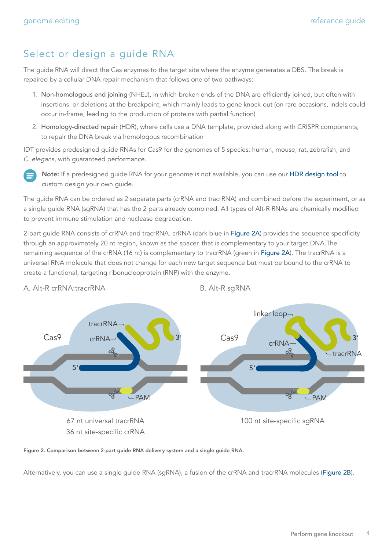### Select or design a guide RNA

The guide RNA will direct the Cas enzymes to the target site where the enzyme generates a DBS. The break is repaired by a cellular DNA repair mechanism that follows one of two pathways:

- 1. Non-homologous end joining (NHEJ), in which broken ends of the DNA are efficiently joined, but often with insertions or deletions at the breakpoint, which mainly leads to gene knock-out (on rare occasions, indels could occur in-frame, leading to the production of proteins with partial function)
- 2. Homology-directed repair (HDR), where cells use a DNA template, provided along with CRISPR components, to repair the DNA break via homologous recombination

IDT provides predesigned guide RNAs for Cas9 for the genomes of 5 species: human, mouse, rat, zebrafish, and *C. elegans*, with guaranteed performance.



Note: If a predesigned guide RNA for your genome is not available, you can use our [HDR design tool](http://www.idtdna.com/Cas9Custom) to custom design your own guide.

The guide RNA can be ordered as 2 separate parts (crRNA and tracrRNA) and combined before the experiment, or as a single guide RNA (sgRNA) that has the 2 parts already combined. All types of Alt-R RNAs are chemically modified to prevent immune stimulation and nuclease degradation.

2-part quide RNA consists of crRNA and tracrRNA, crRNA (dark blue in Figure 2A) provides the sequence specificity through an approximately 20 nt region, known as the spacer, that is complementary to your target DNA.The remaining sequence of the crRNA (16 nt) is complementary to tracrRNA (green in Figure 2A). The tracrRNA is a universal RNA molecule that does not change for each new target sequence but must be bound to the crRNA to create a functional, targeting ribonucleoprotein (RNP) with the enzyme.



A. Alt-R crRNA:tracrRNA B. Alt-R sgRNA

Figure 2. Comparison between 2-part guide RNA delivery system and a single guide RNA.

Alternatively, you can use a single guide RNA (sgRNA), a fusion of the crRNA and tracrRNA molecules (Figure 2B).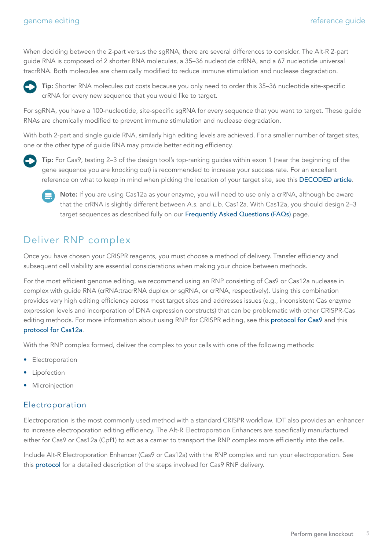When deciding between the 2-part versus the sgRNA, there are several differences to consider. The Alt-R 2-part guide RNA is composed of 2 shorter RNA molecules, a 35–36 nucleotide crRNA, and a 67 nucleotide universal tracrRNA. Both molecules are chemically modified to reduce immune stimulation and nuclease degradation.



Tip: Shorter RNA molecules cut costs because you only need to order this 35–36 nucleotide site-specific crRNA for every new sequence that you would like to target.

For sgRNA, you have a 100-nucleotide, site-specific sgRNA for every sequence that you want to target. These guide RNAs are chemically modified to prevent immune stimulation and nuclease degradation.

With both 2-part and single guide RNA, similarly high editing levels are achieved. For a smaller number of target sites, one or the other type of guide RNA may provide better editing efficiency.



Tip: For Cas9, testing 2–3 of the design tool's top-ranking guides within exon 1 (near the beginning of the gene sequence you are knocking out) is recommended to increase your success rate. For an excellent reference on what to keep in mind when picking the location of your target site, see this [DECODED article](https://www.idtdna.com/pages/education/decoded/article/crispr-genome-editing-5-considerations-for-target-site-selection).



Note: If you are using Cas12a as your enzyme, you will need to use only a crRNA, although be aware that the crRNA is slightly different between *A.s.* and *L.b.* Cas12a. With Cas12a, you should design 2–3 target sequences as described fully on our [Frequently Asked Questions \(FAQs\)](https://www.idtdna.com/pages/support/faqs/how-can-i-ensure-i-am-designing-my-crispr-cpf1-crrna-guide-sequence-in-the-correct-orientation-and-to-the-appropriate-strand-what-sequence-should-be-input-into-the-crispr-cpf1-crrna-ordering-tool) page.

#### Deliver RNP complex

Once you have chosen your CRISPR reagents, you must choose a method of delivery. Transfer efficiency and subsequent cell viability are essential considerations when making your choice between methods.

For the most efficient genome editing, we recommend using an RNP consisting of Cas9 or Cas12a nuclease in complex with guide RNA (crRNA:tracrRNA duplex or sgRNA, or crRNA, respectively). Using this combination provides very high editing efficiency across most target sites and addresses issues (e.g., inconsistent Cas enzyme expression levels and incorporation of DNA expression constructs) that can be problematic with other CRISPR-Cas editing methods. For more information about using RNP for CRISPR editing, see this [protocol for Cas9](https://sfvideo.blob.core.windows.net/sitefinity/docs/default-source/user-guide-manual/alt-r-crispr-cas9-user-guide-ribonucleoprotein-transfections-recommended.pdf?sfvrsn=1c43407_24] ) and this [protocol for Cas12a](https://sfvideo.blob.core.windows.net/sitefinity/docs/default-source/protocol/alt-r-crispr-cpf1-user-guide-rnp-electroporation-amaxa-nucleofector-system.pdf?sfvrsn=ec43407_14).

With the RNP complex formed, deliver the complex to your cells with one of the following methods:

- **Electroporation**
- **Lipofection**
- **Microinjection**

#### Electroporation

Electroporation is the most commonly used method with a standard CRISPR workflow. IDT also provides an enhancer to increase electroporation editing efficiency. The Alt-R Electroporation Enhancers are specifically manufactured either for Cas9 or Cas12a (Cpf1) to act as a carrier to transport the RNP complex more efficiently into the cells.

Include Alt-R Electroporation Enhancer (Cas9 or Cas12a) with the RNP complex and run your electroporation. See this [protocol](https://sfvideo.blob.core.windows.net/sitefinity/docs/default-source/protocol/alt-r-crispr-cas9_delivery-of-ribonucleoprotein-complexes-into-hek-293-cells-using-the-lonza-nucleofector-system.pdf?sfvrsn=71c43407_34) for a detailed description of the steps involved for Cas9 RNP delivery.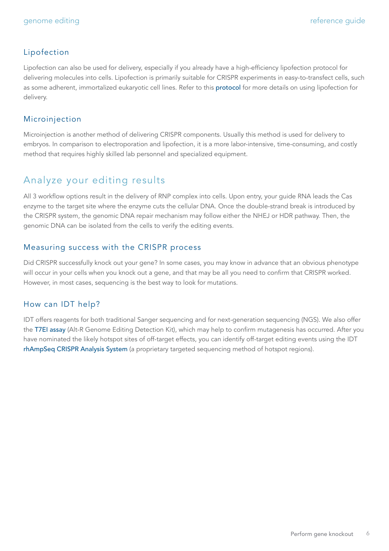#### Lipofection

Lipofection can also be used for delivery, especially if you already have a high-efficiency lipofection protocol for delivering molecules into cells. Lipofection is primarily suitable for CRISPR experiments in easy-to-transfect cells, such as some adherent, immortalized eukaryotic cell lines. Refer to this [protocol](https://sfvideo.blob.core.windows.net/sitefinity/docs/default-source/user-guide-manual/alt-r-crispr-cas9-user-guide-ribonucleoprotein-transfections-recommended.pdf?sfvrsn=1c43407_24 ) for more details on using lipofection for delivery.

#### Microinjection

Microinjection is another method of delivering CRISPR components. Usually this method is used for delivery to embryos. In comparison to electroporation and lipofection, it is a more labor-intensive, time-consuming, and costly method that requires highly skilled lab personnel and specialized equipment.

#### Analyze your editing results

All 3 workflow options result in the delivery of RNP complex into cells. Upon entry, your guide RNA leads the Cas enzyme to the target site where the enzyme cuts the cellular DNA. Once the double-strand break is introduced by the CRISPR system, the genomic DNA repair mechanism may follow either the NHEJ or HDR pathway. Then, the genomic DNA can be isolated from the cells to verify the editing events.

#### Measuring success with the CRISPR process

Did CRISPR successfully knock out your gene? In some cases, you may know in advance that an obvious phenotype will occur in your cells when you knock out a gene, and that may be all you need to confirm that CRISPR worked. However, in most cases, sequencing is the best way to look for mutations.

#### How can IDT help?

IDT offers reagents for both traditional Sanger sequencing and for next-generation sequencing (NGS). We also offer the [T7EI assay](https://www.idtdna.com/pages/products/crispr-genome-editing/alt-r-genome-editing-detection-kit) (Alt-R Genome Editing Detection Kit), which may help to confirm mutagenesis has occurred. After you have nominated the likely hotspot sites of off-target effects, you can identify off-target editing events using the IDT [rhAmpSeq CRISPR Analysis System](https://www.idtdna.com/pages/products/crispr-genome-editing/rhampseq-crispr-analysis-system) (a proprietary targeted sequencing method of hotspot regions).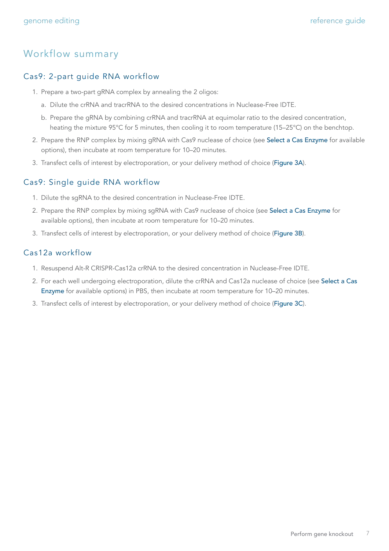#### Workflow summary

#### Cas9: 2-part guide RNA workflow

- 1. Prepare a two-part gRNA complex by annealing the 2 oligos:
	- a. Dilute the crRNA and tracrRNA to the desired concentrations in Nuclease-Free IDTE.
	- b. Prepare the gRNA by combining crRNA and tracrRNA at equimolar ratio to the desired concentration, heating the mixture 95°C for 5 minutes, then cooling it to room temperature (15–25°C) on the benchtop.
- 2. Prepare the RNP complex by mixing gRNA with Cas9 nuclease of choice (see Select a Cas Enzyme for available options), then incubate at room temperature for 10–20 minutes.
- 3. Transfect cells of interest by electroporation, or your delivery method of choice (Figure 3A).

#### Cas9: Single guide RNA workflow

- 1. Dilute the sgRNA to the desired concentration in Nuclease-Free IDTE.
- 2. Prepare the RNP complex by mixing sgRNA with Cas9 nuclease of choice (see Select a Cas Enzyme for available options), then incubate at room temperature for 10–20 minutes.
- 3. Transfect cells of interest by electroporation, or your delivery method of choice (Figure 3B).

#### Cas12a workflow

- 1. Resuspend Alt-R CRISPR-Cas12a crRNA to the desired concentration in Nuclease-Free IDTE.
- 2. For each well undergoing electroporation, dilute the crRNA and Cas12a nuclease of choice (see Select a Cas Enzyme for available options) in PBS, then incubate at room temperature for 10–20 minutes.
- 3. Transfect cells of interest by electroporation, or your delivery method of choice (Figure 3C).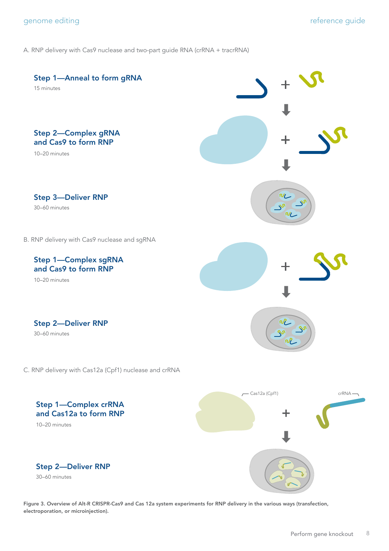A. RNP delivery with Cas9 nuclease and two-part guide RNA (crRNA + tracrRNA)



Figure 3. Overview of Alt-R CRISPR-Cas9 and Cas 12a system experiments for RNP delivery in the various ways (transfection, electroporation, or microinjection).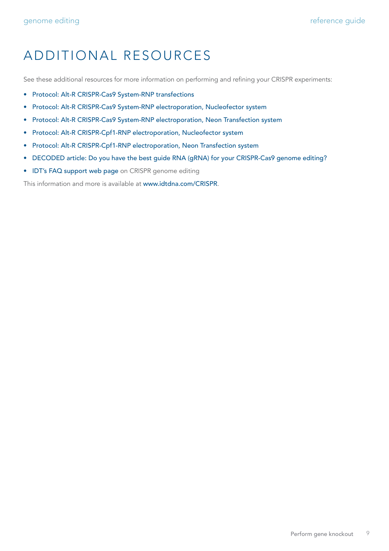## ADDITIONAL RESOURCES

See these additional resources for more information on performing and refining your CRISPR experiments:

- [Protocol: Alt-R CRISPR-Cas9 System-RNP transfections](https://sfvideo.blob.core.windows.net/sitefinity/docs/default-source/user-guide-manual/alt-r-crispr-cas9-user-guide-ribonucleoprotein-transfections-recommended.pdf?sfvrsn=1c43407_24)
- [Protocol: Alt-R CRISPR-Cas9 System-RNP electroporation, Nucleofector system](https://sfvideo.blob.core.windows.net/sitefinity/docs/default-source/protocol/alt-r-crispr-cas9-user-guide-ribonucleoprotein-electroporation-amaxa-nucleofector-system6a01611532796e2eaa53ff00001c1b3c.pdf?sfvrsn=71c43407_30)
- [Protocol: Alt-R CRISPR-Cas9 System-RNP electroporation, Neon Transfection system](https://sfvideo.blob.core.windows.net/sitefinity/docs/default-source/protocol/alt-r-crispr-cas9-user-guide-ribonucleoprotein-electroporation-neon-transfection-system0601611532796e2eaa53ff00001c1b3c.pdf?sfvrsn=6c43407_28)
- [Protocol: Alt-R CRISPR-Cpf1-RNP electroporation, Nucleofector system](https://sfvideo.blob.core.windows.net/sitefinity/docs/default-source/protocol/alt-r-crispr-cpf1-user-guide-rnp-electroporation-amaxa-nucleofector-system.pdf?sfvrsn=ec43407_14)
- [Protocol: Alt-R CRISPR-Cpf1-RNP electroporation, Neon Transfection system](https://sfvideo.blob.core.windows.net/sitefinity/docs/default-source/protocol/alt-r-crispr-cpf1-user-guide-rnp-electroporation-amaxa-nucleofector-system.pdf?sfvrsn=ec43407_14)
- [DECODED article: Do you have the best guide RNA \(gRNA\) for your CRISPR-Cas9 genome editing?](https://www.idtdna.com/pages/education/decoded/article/do-you-have-the-best-guide-rna-(grna)-for-your-crispr-cas9-genome-editing)
- [IDT's FAQ support web page](https://www.idtdna.com/pages/support/faqs?categories=crispr-genome-editing) on CRISPR genome editing

This information and more is available at [www.idtdna.com/CRISPR](https://www.idtdna.com/CRISPR).